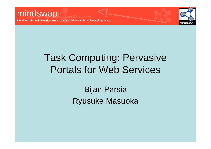**maryland information and network dynamics lab semantic web agents project**

# Task Computing: Pervasive Portals for Web Services

Bijan Parsia Ryusuke Masuoka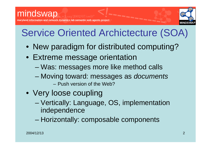

# Service Oriented Archictecture (SOA)

- New paradigm for distributed computing?
- Extreme message orientation
	- –Was: messages more like method calls
	- – Moving toward: messages as *documents* – Push version of the Web?
- Very loose coupling
	- – Vertically: Language, OS, implementation independence
	- Horizontally: composable components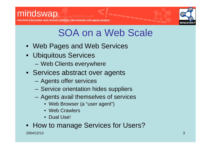



### SOA on a Web Scale

- Web Pages and Web Services
- Ubiquitous Services
	- Web Clients everywhere
- Services abstract over agents
	- –Agents offer services
	- Service orientation hides suppliers
	- Agents avail themselves of services
		- Web Browser (a "user agent")
		- Web Crawlers
		- Dual Use!
- How to manage Services for Users?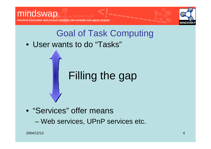



# Goal of Task Computing

• User wants to do "Tasks"

# Filling the gap

• "Services" offer means –Web services, UPnP services etc.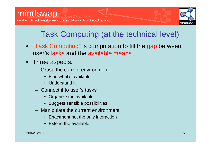

#### Task Computing (at the technical level)

- "Task Computing" is computation to fill the gap between user's tasks and the available means
- Three aspects:
	- Grasp the current environment
		- Find what's available
		- Understand it
	- Connect it to user's tasks
		- Organize the available
		- Suggest sensible possibilities
	- Manipulate the current environment
		- •Enactment not the only interaction
		- •Extend the available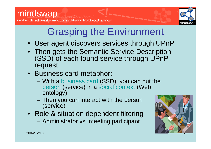

# Grasping the Environment

- User agent discovers services through UPnP
- Then gets the Semantic Service Description (SSD) of each found service through UPnP request
- Business card metaphor:
	- With a business card (SSD), you can put the person (service) in a social context (Web ontology)
	- –– Then you can interact with the person (service)
- Role & situation dependent filtering
	- Administrator vs. meeting participant

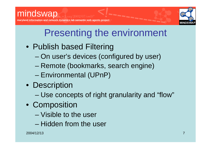

# Presenting the environment

- Publish based Filtering
	- On user's devices (configured by user)
	- and the state of the state Remote (bookmarks, search engine)
	- –– Environmental (UPnP)
- Description
	- –Use concepts of right granularity and "flow"
- Composition
	- Visible to the user
	- Hidden from the user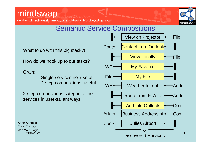**maryland information and network dynamics lab semantic web agents project**



#### Semantic Service Compositions

What to do with this big stack?!

How do we hook up to our tasks?

Grain:

Single services not useful 2-step compositions, useful

2-step compositions categorize the services in user-saliant ways

2004/12/13Addr: AddressWP: Web Page

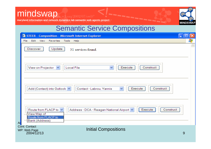**maryland information and network dynamics lab semantic web agents project**



#### Semantic Service Compositions

| G)<br><b>STEER - Composition - Microsoft Internet Explorer</b>                                                                                              |    |
|-------------------------------------------------------------------------------------------------------------------------------------------------------------|----|
| Edit<br>View<br><b>Favorites</b><br>Tools<br>File<br>Help                                                                                                   | 7. |
| Update<br><b>Discover</b><br>31 services found                                                                                                              |    |
| $\checkmark$<br>Construct<br>View on Projector<br>Execute<br><b>Local File</b><br>$\checkmark$                                                              |    |
| ×<br>Execute<br>Construct<br>Add (Contact) into Outlook V<br>Contact - Labrou, Yannis                                                                       |    |
| Execute<br>Construct<br>Route from FLACP to $\vee$<br>Address - DCA - Reagan National Airport<br>View Map of<br>Route from FLACP to<br>Bank (Address)<br>A٥ |    |
| <b>Cont: Contact</b><br><b>Initial Compositions</b><br>WP: Web Page<br>2004/12/13                                                                           | 9  |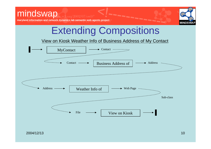**maryland information and network dynamics lab semantic web agents project**



## Extending Compositions

View on Kiosk Weather Info of Business Address of My Contact

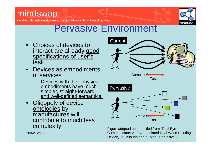#### mindswap **maryland information and network dynamics lab semantic web agents project**



#### Pervasive Environment

- Choices of devices to interact are already good specifications of user's task
- Devices as embodiments of services
	- $-$  Devices with their physical  $\,$ embodiments have much simpler, straight-forward, and well-defined semantics.
- •**Oligopoly of device** ontologies by manufactures will contribute to much less complexity.

2004/12/13



 11 Communicator: An Eye-mediated Real World Pointing Figure adopted and modified from "Real Eye Device," Y. Mitsudo and K. Mogi, Pervasive 2002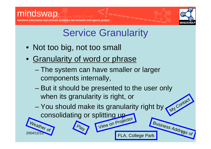



# **Service Granularity**

- Not too big, not too small
- Granularity of word or phrase
	- –– The system can have smaller or larger components internally,
	- But it should be presented to the user only when its granularity is right, or
	- –– You should make its granularity right by consolidating or splitting up View on Projector My Contact

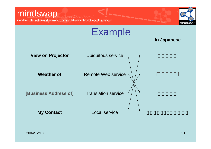### mindswap www.w3.org/2002/07/owl#"

**maryland information and network dynamics lab semantic web agents project**



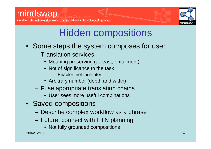

**maryland information and network dynamics lab semantic web agents project**

## Hidden compositions

- Some steps the system composes for user
	- Translation services
		- Meaning preserving (at least, entailment)
		- Not of significance to the task
			- Enabler, not facilitator
		- Arbitrary number (depth and width)
	- Fuse appropriate translation chains
		- User sees more useful combinations
- Saved compositions
	- Describe complex workflow as a phrase
	- Future: connect with HTN planning
		- Not fully grounded compositions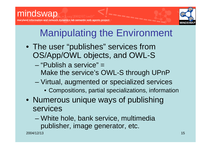

# Manipulating the Environment

- The user "publishes" services from OS/App/OWL objects, and OWL-S
	- –"Publish a service" <sup>=</sup> Make the service's OWL-S through UPnP
	- – Virtual, augmented or specialized services
		- Compositions, partial specializations, information
- Numerous unique ways of publishing services

and the state of the state White hole, bank service, multimedia publisher, image generator, etc.

2004/12/13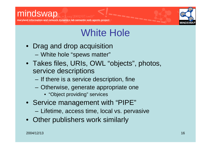#### mindswap **maryland information and network dynamics lab semantic web agents project**



### White Hole

- Drag and drop acquisition
	- White hole "spews matter"
- Takes files, URIs, OWL "objects", photos, service descriptions
	- $-$  If there is a service description, fine
	- Otherwise, generate appropriate one
		- "Object providing" services
- Service management with "PIPE"
	- and the state of the state – Lifetime, access time, local vs. pervasive
- Other publishers work similarly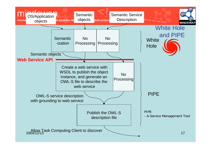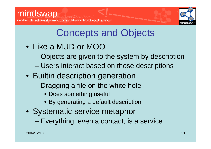

#### Concepts and Objects

- Like a MUD or MOO
	- Objects are given to the system by description
	- and the state of the state Users interact based on those descriptions
- Builtin description generation
	- Dragging a file on the white hole
		- Does something useful
		- By generating a default description
- Systematic service metaphor

–– Everything, even a contact, is a service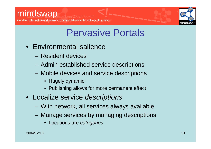



#### Pervasive Portals

- Environmental salience
	- Resident devices
	- and the state of the state Admin established service descriptions
	- and the state of the state Mobile devices and service descriptions
		- Hugely dynamic!
		- Publishing allows for more permanent effect
- Localize service *descriptions*
	- With network, all services always available
	- Manage services by managing descriptions
		- Locations are *categories*